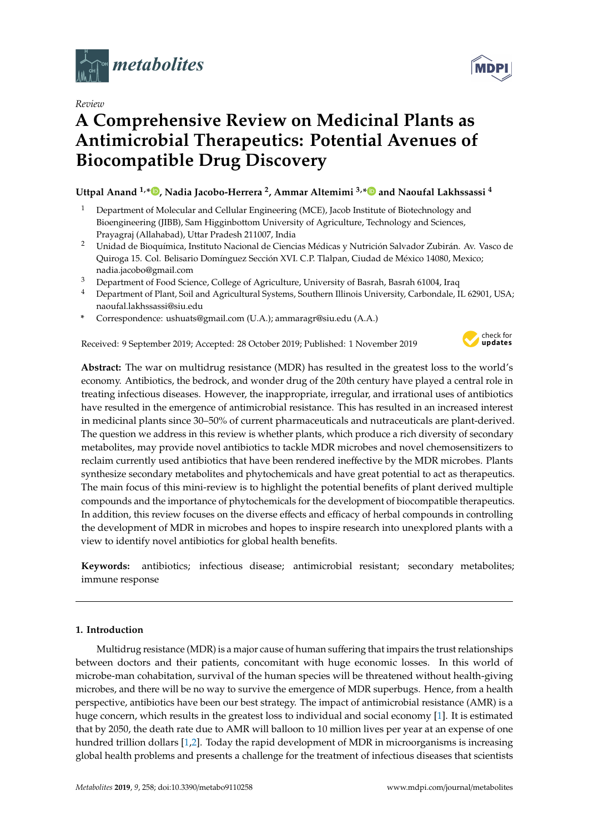

*Review*

# **A Comprehensive Review on Medicinal Plants as Antimicrobial Therapeutics: Potential Avenues of Biocompatible Drug Discovery**

## **Uttpal Anand 1,[\\*](https://orcid.org/0000-0001-5924-7866) , Nadia Jacobo-Herrera <sup>2</sup> , Ammar Altemimi 3,[\\*](https://orcid.org/0000-0001-7750-5988) and Naoufal Lakhssassi <sup>4</sup>**

- <sup>1</sup> Department of Molecular and Cellular Engineering (MCE), Jacob Institute of Biotechnology and Bioengineering (JIBB), Sam Higginbottom University of Agriculture, Technology and Sciences, Prayagraj (Allahabad), Uttar Pradesh 211007, India
- <sup>2</sup> Unidad de Bioquímica, Instituto Nacional de Ciencias Médicas y Nutrición Salvador Zubirán. Av. Vasco de Quiroga 15. Col. Belisario Domínguez Sección XVI. C.P. Tlalpan, Ciudad de México 14080, Mexico; nadia.jacobo@gmail.com
- <sup>3</sup> Department of Food Science, College of Agriculture, University of Basrah, Basrah 61004, Iraq
- <sup>4</sup> Department of Plant, Soil and Agricultural Systems, Southern Illinois University, Carbondale, IL 62901, USA; naoufal.lakhssassi@siu.edu
- **\*** Correspondence: ushuats@gmail.com (U.A.); ammaragr@siu.edu (A.A.)

Received: 9 September 2019; Accepted: 28 October 2019; Published: 1 November 2019



**Abstract:** The war on multidrug resistance (MDR) has resulted in the greatest loss to the world's economy. Antibiotics, the bedrock, and wonder drug of the 20th century have played a central role in treating infectious diseases. However, the inappropriate, irregular, and irrational uses of antibiotics have resulted in the emergence of antimicrobial resistance. This has resulted in an increased interest in medicinal plants since 30–50% of current pharmaceuticals and nutraceuticals are plant-derived. The question we address in this review is whether plants, which produce a rich diversity of secondary metabolites, may provide novel antibiotics to tackle MDR microbes and novel chemosensitizers to reclaim currently used antibiotics that have been rendered ineffective by the MDR microbes. Plants synthesize secondary metabolites and phytochemicals and have great potential to act as therapeutics. The main focus of this mini-review is to highlight the potential benefits of plant derived multiple compounds and the importance of phytochemicals for the development of biocompatible therapeutics. In addition, this review focuses on the diverse effects and efficacy of herbal compounds in controlling the development of MDR in microbes and hopes to inspire research into unexplored plants with a view to identify novel antibiotics for global health benefits.

**Keywords:** antibiotics; infectious disease; antimicrobial resistant; secondary metabolites; immune response

### **1. Introduction**

Multidrug resistance (MDR) is a major cause of human suffering that impairs the trust relationships between doctors and their patients, concomitant with huge economic losses. In this world of microbe-man cohabitation, survival of the human species will be threatened without health-giving microbes, and there will be no way to survive the emergence of MDR superbugs. Hence, from a health perspective, antibiotics have been our best strategy. The impact of antimicrobial resistance (AMR) is a huge concern, which results in the greatest loss to individual and social economy [\[1\]](#page-8-0). It is estimated that by 2050, the death rate due to AMR will balloon to 10 million lives per year at an expense of one hundred trillion dollars [\[1](#page-8-0)[,2\]](#page-8-1). Today the rapid development of MDR in microorganisms is increasing global health problems and presents a challenge for the treatment of infectious diseases that scientists

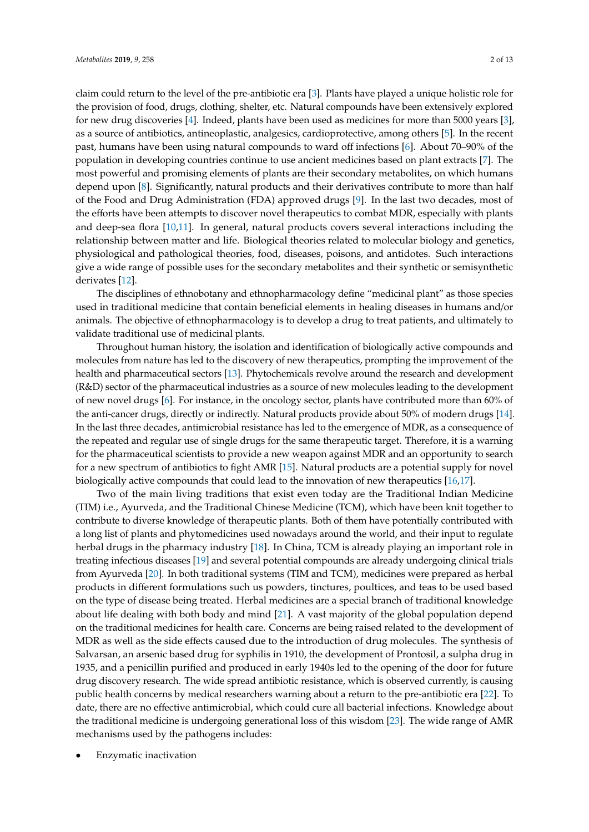claim could return to the level of the pre-antibiotic era [\[3\]](#page-8-2). Plants have played a unique holistic role for the provision of food, drugs, clothing, shelter, etc. Natural compounds have been extensively explored for new drug discoveries [\[4\]](#page-8-3). Indeed, plants have been used as medicines for more than 5000 years [\[3\]](#page-8-2), as a source of antibiotics, antineoplastic, analgesics, cardioprotective, among others [\[5\]](#page-8-4). In the recent past, humans have been using natural compounds to ward off infections [\[6\]](#page-9-0). About 70–90% of the population in developing countries continue to use ancient medicines based on plant extracts [\[7\]](#page-9-1). The most powerful and promising elements of plants are their secondary metabolites, on which humans depend upon [\[8\]](#page-9-2). Significantly, natural products and their derivatives contribute to more than half of the Food and Drug Administration (FDA) approved drugs [\[9\]](#page-9-3). In the last two decades, most of the efforts have been attempts to discover novel therapeutics to combat MDR, especially with plants and deep-sea flora [\[10](#page-9-4)[,11\]](#page-9-5). In general, natural products covers several interactions including the relationship between matter and life. Biological theories related to molecular biology and genetics, physiological and pathological theories, food, diseases, poisons, and antidotes. Such interactions give a wide range of possible uses for the secondary metabolites and their synthetic or semisynthetic derivates [\[12\]](#page-9-6).

The disciplines of ethnobotany and ethnopharmacology define "medicinal plant" as those species used in traditional medicine that contain beneficial elements in healing diseases in humans and/or animals. The objective of ethnopharmacology is to develop a drug to treat patients, and ultimately to validate traditional use of medicinal plants.

Throughout human history, the isolation and identification of biologically active compounds and molecules from nature has led to the discovery of new therapeutics, prompting the improvement of the health and pharmaceutical sectors [\[13\]](#page-9-7). Phytochemicals revolve around the research and development (R&D) sector of the pharmaceutical industries as a source of new molecules leading to the development of new novel drugs [\[6\]](#page-9-0). For instance, in the oncology sector, plants have contributed more than 60% of the anti-cancer drugs, directly or indirectly. Natural products provide about 50% of modern drugs [\[14\]](#page-9-8). In the last three decades, antimicrobial resistance has led to the emergence of MDR, as a consequence of the repeated and regular use of single drugs for the same therapeutic target. Therefore, it is a warning for the pharmaceutical scientists to provide a new weapon against MDR and an opportunity to search for a new spectrum of antibiotics to fight AMR [\[15\]](#page-9-9). Natural products are a potential supply for novel biologically active compounds that could lead to the innovation of new therapeutics [\[16](#page-9-10)[,17\]](#page-9-11).

Two of the main living traditions that exist even today are the Traditional Indian Medicine (TIM) i.e., Ayurveda, and the Traditional Chinese Medicine (TCM), which have been knit together to contribute to diverse knowledge of therapeutic plants. Both of them have potentially contributed with a long list of plants and phytomedicines used nowadays around the world, and their input to regulate herbal drugs in the pharmacy industry [\[18\]](#page-9-12). In China, TCM is already playing an important role in treating infectious diseases [\[19\]](#page-9-13) and several potential compounds are already undergoing clinical trials from Ayurveda [\[20\]](#page-9-14). In both traditional systems (TIM and TCM), medicines were prepared as herbal products in different formulations such us powders, tinctures, poultices, and teas to be used based on the type of disease being treated. Herbal medicines are a special branch of traditional knowledge about life dealing with both body and mind [\[21\]](#page-9-15). A vast majority of the global population depend on the traditional medicines for health care. Concerns are being raised related to the development of MDR as well as the side effects caused due to the introduction of drug molecules. The synthesis of Salvarsan, an arsenic based drug for syphilis in 1910, the development of Prontosil, a sulpha drug in 1935, and a penicillin purified and produced in early 1940s led to the opening of the door for future drug discovery research. The wide spread antibiotic resistance, which is observed currently, is causing public health concerns by medical researchers warning about a return to the pre-antibiotic era [\[22\]](#page-9-16). To date, there are no effective antimicrobial, which could cure all bacterial infections. Knowledge about the traditional medicine is undergoing generational loss of this wisdom [\[23\]](#page-9-17). The wide range of AMR mechanisms used by the pathogens includes:

• Enzymatic inactivation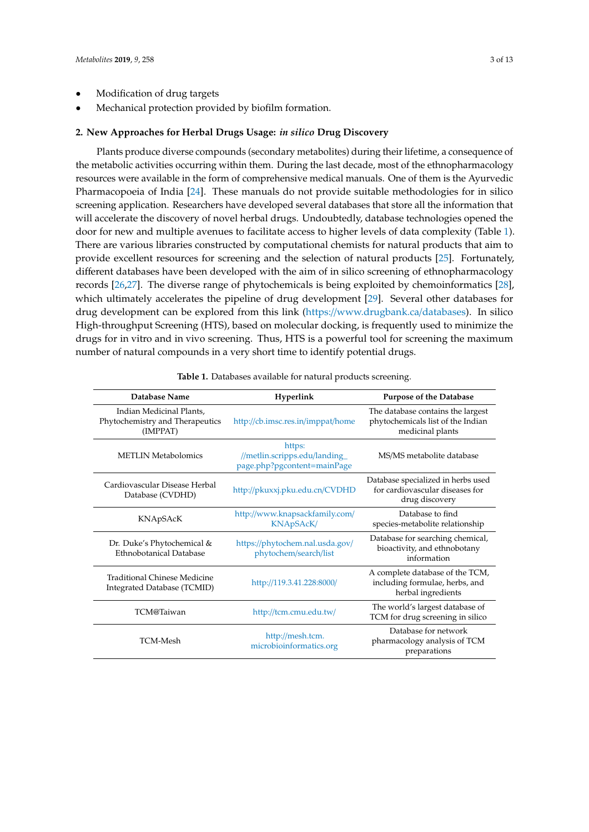• Mechanical protection provided by biofilm formation.

#### **2. New Approaches for Herbal Drugs Usage:** *in silico* **Drug Discovery**

Plants produce diverse compounds (secondary metabolites) during their lifetime, a consequence of the metabolic activities occurring within them. During the last decade, most of the ethnopharmacology resources were available in the form of comprehensive medical manuals. One of them is the Ayurvedic Pharmacopoeia of India [\[24\]](#page-9-18). These manuals do not provide suitable methodologies for in silico screening application. Researchers have developed several databases that store all the information that will accelerate the discovery of novel herbal drugs. Undoubtedly, database technologies opened the door for new and multiple avenues to facilitate access to higher levels of data complexity (Table [1\)](#page-3-0). There are various libraries constructed by computational chemists for natural products that aim to provide excellent resources for screening and the selection of natural products [\[25\]](#page-9-19). Fortunately, different databases have been developed with the aim of in silico screening of ethnopharmacology records [\[26,](#page-9-20)[27\]](#page-9-21). The diverse range of phytochemicals is being exploited by chemoinformatics [\[28\]](#page-10-0), which ultimately accelerates the pipeline of drug development [\[29\]](#page-10-1). Several other databases for drug development can be explored from this link (https://[www.drugbank.ca](https://www.drugbank.ca/databases)/databases). In silico High-throughput Screening (HTS), based on molecular docking, is frequently used to minimize the drugs for in vitro and in vivo screening. Thus, HTS is a powerful tool for screening the maximum number of natural compounds in a very short time to identify potential drugs.

| Database Name                                                           | Hyperlink                                                              | <b>Purpose of the Database</b>                                                             |
|-------------------------------------------------------------------------|------------------------------------------------------------------------|--------------------------------------------------------------------------------------------|
| Indian Medicinal Plants,<br>Phytochemistry and Therapeutics<br>(IMPPAT) | http://cb.imsc.res.in/imppat/home                                      | The database contains the largest<br>phytochemicals list of the Indian<br>medicinal plants |
| <b>METLIN Metabolomics</b>                                              | https:<br>//metlin.scripps.edu/landing_<br>page.php?pgcontent=mainPage | MS/MS metabolite database                                                                  |
| Cardiovascular Disease Herbal<br>Database (CVDHD)                       | http://pkuxxj.pku.edu.cn/CVDHD                                         | Database specialized in herbs used<br>for cardiovascular diseases for<br>drug discovery    |
| KNApSAcK                                                                | http://www.knapsackfamily.com/<br>KNApSAcK/                            | Database to find<br>species-metabolite relationship                                        |
| Dr. Duke's Phytochemical &<br>Ethnobotanical Database                   | https://phytochem.nal.usda.gov/<br>phytochem/search/list               | Database for searching chemical,<br>bioactivity, and ethnobotany<br>information            |
| <b>Traditional Chinese Medicine</b><br>Integrated Database (TCMID)      | http://119.3.41.228:8000/                                              | A complete database of the TCM,<br>including formulae, herbs, and<br>herbal ingredients    |
| TCM@Taiwan                                                              | http://tcm.cmu.edu.tw/                                                 | The world's largest database of<br>TCM for drug screening in silico                        |
| <b>TCM-Mesh</b>                                                         | http://mesh.tcm.<br>microbioinformatics.org                            | Database for network<br>pharmacology analysis of TCM<br>preparations                       |

**Table 1.** Databases available for natural products screening.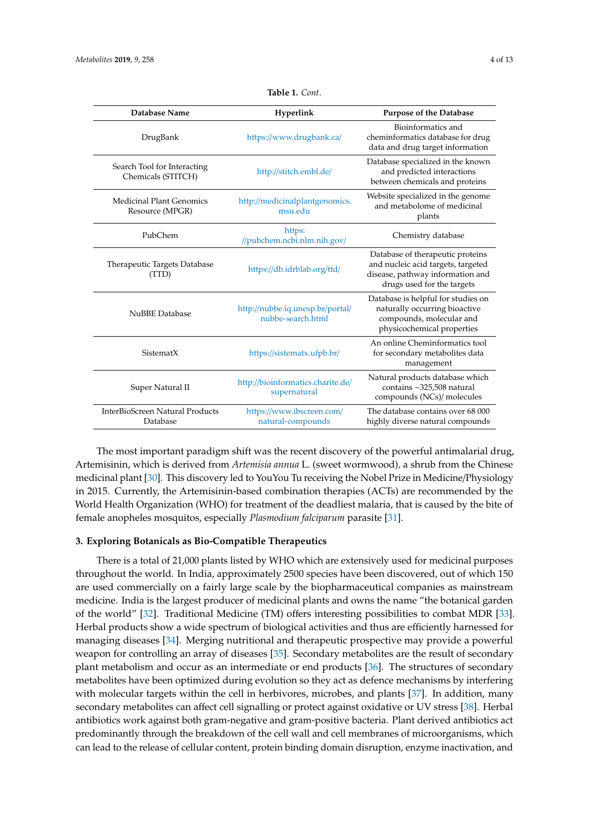<span id="page-3-0"></span>

| Database Name                                     | Hyperlink                                             | <b>Purpose of the Database</b>                                                                                                           |
|---------------------------------------------------|-------------------------------------------------------|------------------------------------------------------------------------------------------------------------------------------------------|
| DrugBank                                          | https://www.drugbank.ca/                              | Bioinformatics and<br>cheminformatics database for drug<br>data and drug target information                                              |
| Search Tool for Interacting<br>Chemicals (STITCH) | http://stitch.embl.de/                                | Database specialized in the known<br>and predicted interactions<br>between chemicals and proteins                                        |
| Medicinal Plant Genomics<br>Resource (MPGR)       | http://medicinalplantgenomics.<br>msu.edu             | Website specialized in the genome<br>and metabolome of medicinal<br>plants                                                               |
| PubChem                                           | https:<br>//pubchem.ncbi.nlm.nih.gov/                 | Chemistry database                                                                                                                       |
| Therapeutic Targets Database<br>(TTD)             | https://db.idrblab.org/ttd/                           | Database of therapeutic proteins<br>and nucleic acid targets, targeted<br>disease, pathway information and<br>drugs used for the targets |
| <b>NuBBE</b> Database                             | http://nubbe.iq.unesp.br/portal/<br>nubbe-search.html | Database is helpful for studies on<br>naturally occurring bioactive<br>compounds, molecular and<br>physicochemical properties            |
| SistematX                                         | https://sistematx.ufpb.br/                            | An online Cheminformatics tool<br>for secondary metabolites data<br>management                                                           |
| Super Natural II                                  | http://bioinformatics.charite.de/<br>supernatural     | Natural products database which<br>contains ~325,508 natural<br>compounds (NCs)/ molecules                                               |
| InterBioScreen Natural Products<br>Database       | https://www.ibscreen.com/<br>natural-compounds        | The database contains over 68 000<br>highly diverse natural compounds                                                                    |

**Table 1.** *Cont*.

The most important paradigm shift was the recent discovery of the powerful antimalarial drug, Artemisinin, which is derived from *Artemisia annua* L. (sweet wormwood)*,* a shrub from the Chinese medicinal plant [\[30\]](#page-10-2). This discovery led to YouYou Tu receiving the Nobel Prize in Medicine/Physiology in 2015. Currently, the Artemisinin-based combination therapies (ACTs) are recommended by the World Health Organization (WHO) for treatment of the deadliest malaria, that is caused by the bite of female anopheles mosquitos, especially *Plasmodium falciparum* parasite [\[31\]](#page-10-3).

#### **3. Exploring Botanicals as Bio-Compatible Therapeutics**

There is a total of 21,000 plants listed by WHO which are extensively used for medicinal purposes throughout the world. In India, approximately 2500 species have been discovered, out of which 150 are used commercially on a fairly large scale by the biopharmaceutical companies as mainstream medicine. India is the largest producer of medicinal plants and owns the name "the botanical garden of the world" [\[32\]](#page-10-4). Traditional Medicine (TM) offers interesting possibilities to combat MDR [\[33\]](#page-10-5). Herbal products show a wide spectrum of biological activities and thus are efficiently harnessed for managing diseases [\[34\]](#page-10-6). Merging nutritional and therapeutic prospective may provide a powerful weapon for controlling an array of diseases [\[35\]](#page-10-7). Secondary metabolites are the result of secondary plant metabolism and occur as an intermediate or end products [\[36\]](#page-10-8). The structures of secondary metabolites have been optimized during evolution so they act as defence mechanisms by interfering with molecular targets within the cell in herbivores, microbes, and plants [\[37\]](#page-10-9). In addition, many secondary metabolites can affect cell signalling or protect against oxidative or UV stress [\[38\]](#page-10-10). Herbal antibiotics work against both gram-negative and gram-positive bacteria. Plant derived antibiotics act predominantly through the breakdown of the cell wall and cell membranes of microorganisms, which can lead to the release of cellular content, protein binding domain disruption, enzyme inactivation, and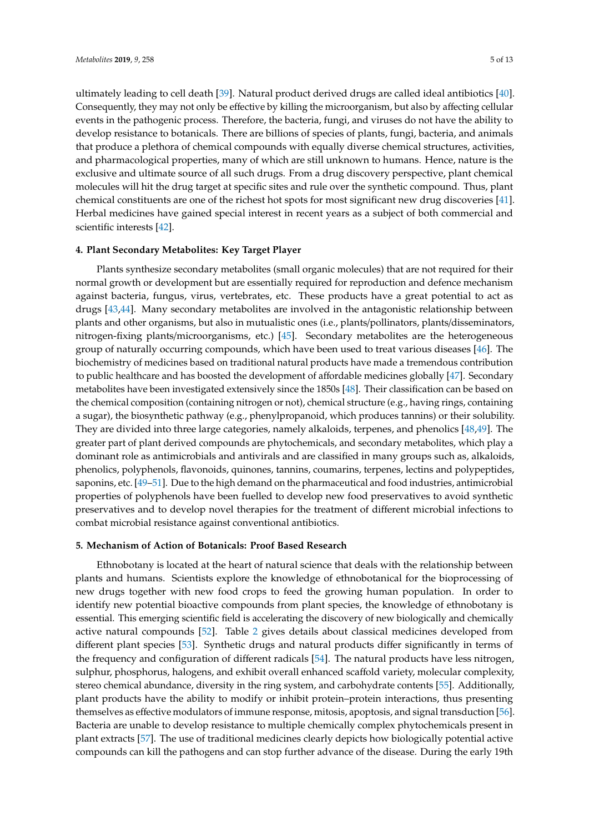ultimately leading to cell death [\[39\]](#page-10-11). Natural product derived drugs are called ideal antibiotics [\[40\]](#page-10-12). Consequently, they may not only be effective by killing the microorganism, but also by affecting cellular events in the pathogenic process. Therefore, the bacteria, fungi, and viruses do not have the ability to develop resistance to botanicals. There are billions of species of plants, fungi, bacteria, and animals that produce a plethora of chemical compounds with equally diverse chemical structures, activities, and pharmacological properties, many of which are still unknown to humans. Hence, nature is the exclusive and ultimate source of all such drugs. From a drug discovery perspective, plant chemical molecules will hit the drug target at specific sites and rule over the synthetic compound. Thus, plant chemical constituents are one of the richest hot spots for most significant new drug discoveries [\[41\]](#page-10-13). Herbal medicines have gained special interest in recent years as a subject of both commercial and scientific interests [\[42\]](#page-10-14).

#### **4. Plant Secondary Metabolites: Key Target Player**

Plants synthesize secondary metabolites (small organic molecules) that are not required for their normal growth or development but are essentially required for reproduction and defence mechanism against bacteria, fungus, virus, vertebrates, etc. These products have a great potential to act as drugs [\[43](#page-10-15)[,44\]](#page-10-16). Many secondary metabolites are involved in the antagonistic relationship between plants and other organisms, but also in mutualistic ones (i.e., plants/pollinators, plants/disseminators, nitrogen-fixing plants/microorganisms, etc.) [\[45\]](#page-10-17). Secondary metabolites are the heterogeneous group of naturally occurring compounds, which have been used to treat various diseases [\[46\]](#page-10-18). The biochemistry of medicines based on traditional natural products have made a tremendous contribution to public healthcare and has boosted the development of affordable medicines globally [\[47\]](#page-10-19). Secondary metabolites have been investigated extensively since the 1850s [\[48\]](#page-10-20). Their classification can be based on the chemical composition (containing nitrogen or not), chemical structure (e.g., having rings, containing a sugar), the biosynthetic pathway (e.g., phenylpropanoid, which produces tannins) or their solubility. They are divided into three large categories, namely alkaloids, terpenes, and phenolics [\[48](#page-10-20)[,49\]](#page-10-21). The greater part of plant derived compounds are phytochemicals, and secondary metabolites, which play a dominant role as antimicrobials and antivirals and are classified in many groups such as, alkaloids, phenolics, polyphenols, flavonoids, quinones, tannins, coumarins, terpenes, lectins and polypeptides, saponins, etc. [\[49](#page-10-21)[–51\]](#page-11-0). Due to the high demand on the pharmaceutical and food industries, antimicrobial properties of polyphenols have been fuelled to develop new food preservatives to avoid synthetic preservatives and to develop novel therapies for the treatment of different microbial infections to combat microbial resistance against conventional antibiotics.

#### **5. Mechanism of Action of Botanicals: Proof Based Research**

Ethnobotany is located at the heart of natural science that deals with the relationship between plants and humans. Scientists explore the knowledge of ethnobotanical for the bioprocessing of new drugs together with new food crops to feed the growing human population. In order to identify new potential bioactive compounds from plant species, the knowledge of ethnobotany is essential. This emerging scientific field is accelerating the discovery of new biologically and chemically active natural compounds [\[52\]](#page-11-1). Table [2](#page-5-0) gives details about classical medicines developed from different plant species [\[53\]](#page-11-2). Synthetic drugs and natural products differ significantly in terms of the frequency and configuration of different radicals [\[54\]](#page-11-3). The natural products have less nitrogen, sulphur, phosphorus, halogens, and exhibit overall enhanced scaffold variety, molecular complexity, stereo chemical abundance, diversity in the ring system, and carbohydrate contents [\[55\]](#page-11-4). Additionally, plant products have the ability to modify or inhibit protein–protein interactions, thus presenting themselves as effective modulators of immune response, mitosis, apoptosis, and signal transduction [\[56\]](#page-11-5). Bacteria are unable to develop resistance to multiple chemically complex phytochemicals present in plant extracts [\[57\]](#page-11-6). The use of traditional medicines clearly depicts how biologically potential active compounds can kill the pathogens and can stop further advance of the disease. During the early 19th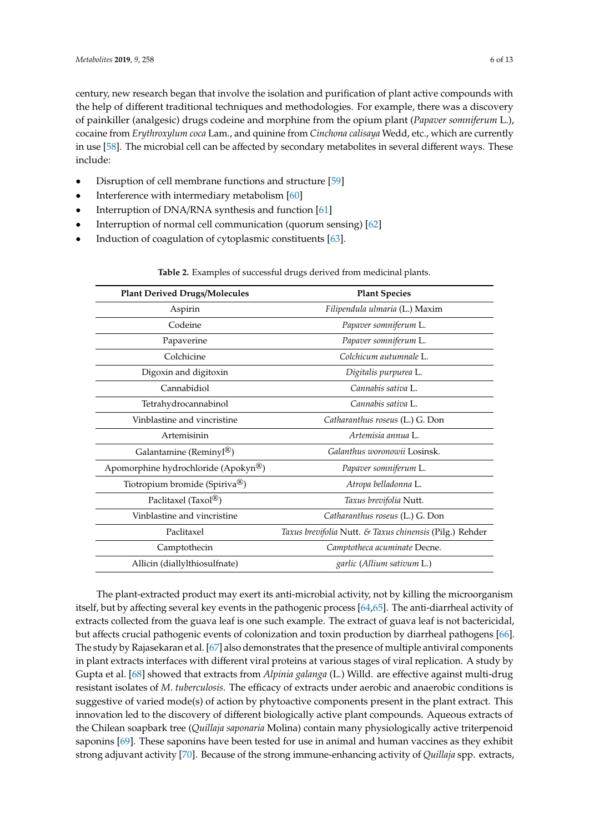century, new research began that involve the isolation and purification of plant active compounds with the help of different traditional techniques and methodologies. For example, there was a discovery of painkiller (analgesic) drugs codeine and morphine from the opium plant (*Papaver somniferum* L.), cocaine from *Erythroxylum coca* Lam., and quinine from *Cinchona calisaya* Wedd, etc., which are currently in use [\[58\]](#page-11-7). The microbial cell can be affected by secondary metabolites in several different ways. These include:

- Disruption of cell membrane functions and structure [\[59\]](#page-11-8)
- Interference with intermediary metabolism [\[60\]](#page-11-9)
- Interruption of DNA/RNA synthesis and function [\[61\]](#page-11-10)
- Interruption of normal cell communication (quorum sensing) [\[62\]](#page-11-11)
- <span id="page-5-0"></span>Induction of coagulation of cytoplasmic constituents [\[63\]](#page-11-12).

| <b>Plant Derived Drugs/Molecules</b> | <b>Plant Species</b>                                    |  |
|--------------------------------------|---------------------------------------------------------|--|
| Aspirin                              | Filipendula ulmaria (L.) Maxim                          |  |
| Codeine                              | Papaver somniferum L.                                   |  |
| Papaverine                           | Papaver somniferum L.                                   |  |
| Colchicine                           | Colchicum autumnale L.                                  |  |
| Digoxin and digitoxin                | Digitalis purpurea L.                                   |  |
| Cannabidiol                          | Cannabis sativa L.                                      |  |
| Tetrahydrocannabinol                 | Cannabis sativa L.                                      |  |
| Vinblastine and vincristine          | Catharanthus roseus (L.) G. Don                         |  |
| Artemisinin                          | Artemisia annua L.                                      |  |
| Galantamine (Reminyl <sup>®</sup> )  | Galanthus woronowii Losinsk.                            |  |
| Apomorphine hydrochloride (Apokyn®)  | Papaver somniferum L.                                   |  |
| Tiotropium bromide (Spiriva®)        | Atropa belladonna L.                                    |  |
| Paclitaxel (Taxol <sup>®</sup> )     | Taxus brevifolia Nutt.                                  |  |
| Vinblastine and vincristine          | Catharanthus roseus (L.) G. Don                         |  |
| Paclitaxel                           | Taxus brevifolia Nutt. & Taxus chinensis (Pilg.) Rehder |  |
| Camptothecin                         | Camptotheca acuminate Decne.                            |  |
| Allicin (diallylthiosulfnate)        | garlic (Allium sativum L.)                              |  |

**Table 2.** Examples of successful drugs derived from medicinal plants.

The plant-extracted product may exert its anti-microbial activity, not by killing the microorganism itself, but by affecting several key events in the pathogenic process [\[64,](#page-11-13)[65\]](#page-11-14). The anti-diarrheal activity of extracts collected from the guava leaf is one such example. The extract of guava leaf is not bactericidal, but affects crucial pathogenic events of colonization and toxin production by diarrheal pathogens [\[66\]](#page-11-15). The study by Rajasekaran et al. [\[67\]](#page-11-16) also demonstrates that the presence of multiple antiviral components in plant extracts interfaces with different viral proteins at various stages of viral replication. A study by Gupta et al. [\[68\]](#page-11-17) showed that extracts from *Alpinia galanga* (L.) Willd. are effective against multi-drug resistant isolates of *M. tuberculosis*. The efficacy of extracts under aerobic and anaerobic conditions is suggestive of varied mode(s) of action by phytoactive components present in the plant extract. This innovation led to the discovery of different biologically active plant compounds. Aqueous extracts of the Chilean soapbark tree (*Quillaja saponaria* Molina) contain many physiologically active triterpenoid saponins [\[69\]](#page-11-18). These saponins have been tested for use in animal and human vaccines as they exhibit strong adjuvant activity [\[70\]](#page-11-19). Because of the strong immune-enhancing activity of *Quillaja* spp. extracts,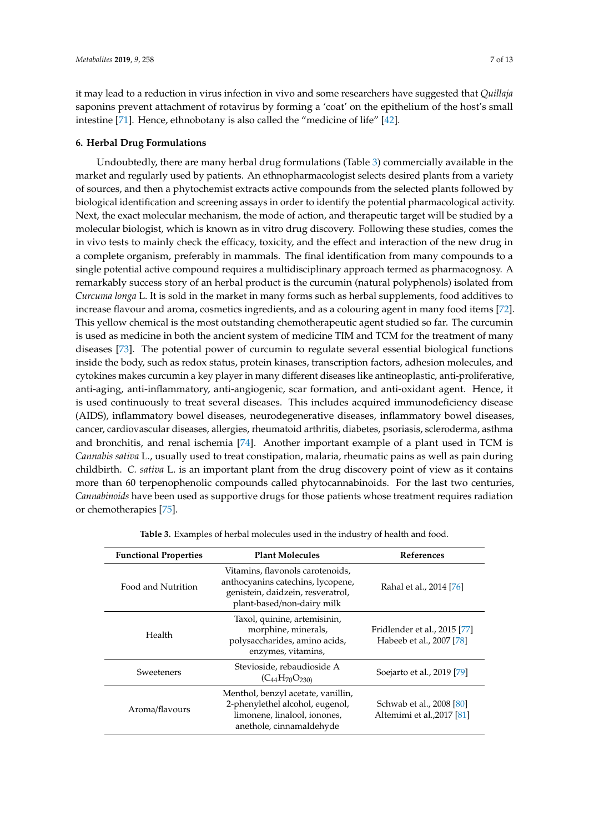it may lead to a reduction in virus infection in vivo and some researchers have suggested that *Quillaja* saponins prevent attachment of rotavirus by forming a 'coat' on the epithelium of the host's small intestine [\[71\]](#page-11-20). Hence, ethnobotany is also called the "medicine of life" [\[42\]](#page-10-14).

#### **6. Herbal Drug Formulations**

Undoubtedly, there are many herbal drug formulations (Table [3\)](#page-6-0) commercially available in the market and regularly used by patients. An ethnopharmacologist selects desired plants from a variety of sources, and then a phytochemist extracts active compounds from the selected plants followed by biological identification and screening assays in order to identify the potential pharmacological activity. Next, the exact molecular mechanism, the mode of action, and therapeutic target will be studied by a molecular biologist, which is known as in vitro drug discovery. Following these studies, comes the in vivo tests to mainly check the efficacy, toxicity, and the effect and interaction of the new drug in a complete organism, preferably in mammals. The final identification from many compounds to a single potential active compound requires a multidisciplinary approach termed as pharmacognosy. A remarkably success story of an herbal product is the curcumin (natural polyphenols) isolated from *Curcuma longa* L. It is sold in the market in many forms such as herbal supplements, food additives to increase flavour and aroma, cosmetics ingredients, and as a colouring agent in many food items [\[72\]](#page-12-0). This yellow chemical is the most outstanding chemotherapeutic agent studied so far. The curcumin is used as medicine in both the ancient system of medicine TIM and TCM for the treatment of many diseases [\[73\]](#page-12-1). The potential power of curcumin to regulate several essential biological functions inside the body, such as redox status, protein kinases, transcription factors, adhesion molecules, and cytokines makes curcumin a key player in many different diseases like antineoplastic, anti-proliferative, anti-aging, anti-inflammatory, anti-angiogenic, scar formation, and anti-oxidant agent. Hence, it is used continuously to treat several diseases. This includes acquired immunodeficiency disease (AIDS), inflammatory bowel diseases, neurodegenerative diseases, inflammatory bowel diseases, cancer, cardiovascular diseases, allergies, rheumatoid arthritis, diabetes, psoriasis, scleroderma, asthma and bronchitis, and renal ischemia [\[74\]](#page-12-2). Another important example of a plant used in TCM is *Cannabis sativa* L., usually used to treat constipation, malaria, rheumatic pains as well as pain during childbirth. *C. sativa* L. is an important plant from the drug discovery point of view as it contains more than 60 terpenophenolic compounds called phytocannabinoids. For the last two centuries, *Cannabinoids* have been used as supportive drugs for those patients whose treatment requires radiation or chemotherapies [\[75\]](#page-12-3).

<span id="page-6-0"></span>

| <b>Functional Properties</b> | <b>Plant Molecules</b>                                                                                                                   | <b>References</b>                                        |
|------------------------------|------------------------------------------------------------------------------------------------------------------------------------------|----------------------------------------------------------|
| Food and Nutrition           | Vitamins, flavonols carotenoids,<br>anthocyanins catechins, lycopene,<br>genistein, daidzein, resveratrol,<br>plant-based/non-dairy milk | Rahal et al., 2014 [76]                                  |
| Health                       | Taxol, quinine, artemisinin,<br>morphine, minerals,<br>polysaccharides, amino acids,<br>enzymes, vitamins,                               | Fridlender et al., 2015 [77]<br>Habeeb et al., 2007 [78] |
| Sweeteners                   | Stevioside, rebaudioside A<br>$(C_{44}H_{70}O_{230)}$                                                                                    | Soejarto et al., 2019 [79]                               |
| Aroma/flavours               | Menthol, benzyl acetate, vanillin,<br>2-phenylethel alcohol, eugenol,<br>limonene, linalool, ionones,<br>anethole, cinnamaldehyde        | Schwab et al., 2008 [80]<br>Altemimi et al., 2017 [81]   |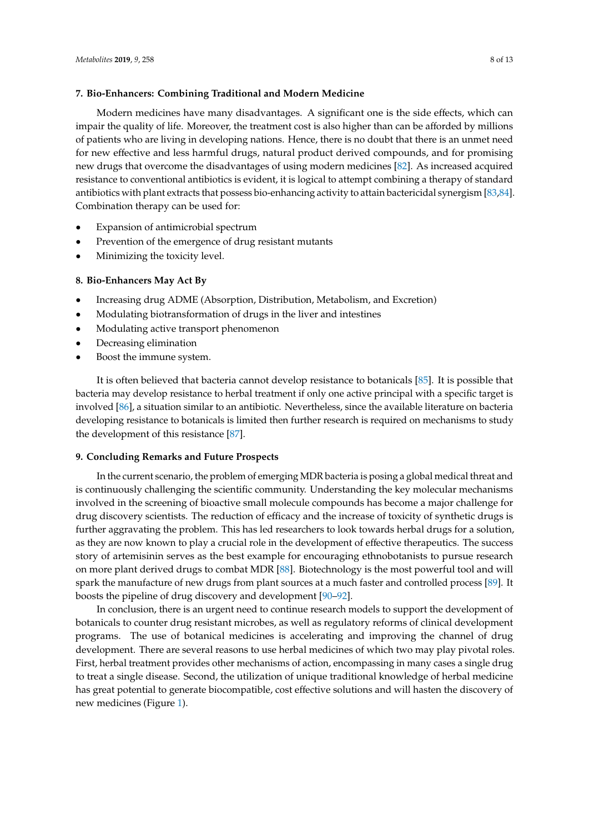#### **7. Bio-Enhancers: Combining Traditional and Modern Medicine**

Modern medicines have many disadvantages. A significant one is the side effects, which can impair the quality of life. Moreover, the treatment cost is also higher than can be afforded by millions of patients who are living in developing nations. Hence, there is no doubt that there is an unmet need for new effective and less harmful drugs, natural product derived compounds, and for promising new drugs that overcome the disadvantages of using modern medicines [\[82\]](#page-12-10). As increased acquired resistance to conventional antibiotics is evident, it is logical to attempt combining a therapy of standard antibiotics with plant extracts that possess bio-enhancing activity to attain bactericidal synergism [\[83](#page-12-11)[,84\]](#page-12-12). Combination therapy can be used for:

- Expansion of antimicrobial spectrum
- Prevention of the emergence of drug resistant mutants
- Minimizing the toxicity level.

#### **8. Bio-Enhancers May Act By**

- Increasing drug ADME (Absorption, Distribution, Metabolism, and Excretion)
- Modulating biotransformation of drugs in the liver and intestines
- Modulating active transport phenomenon
- Decreasing elimination
- Boost the immune system.

It is often believed that bacteria cannot develop resistance to botanicals [\[85\]](#page-12-13). It is possible that bacteria may develop resistance to herbal treatment if only one active principal with a specific target is involved [\[86\]](#page-12-14), a situation similar to an antibiotic. Nevertheless, since the available literature on bacteria developing resistance to botanicals is limited then further research is required on mechanisms to study the development of this resistance [\[87\]](#page-12-15).

#### **9. Concluding Remarks and Future Prospects**

In the current scenario, the problem of emerging MDR bacteria is posing a global medical threat and is continuously challenging the scientific community. Understanding the key molecular mechanisms involved in the screening of bioactive small molecule compounds has become a major challenge for drug discovery scientists. The reduction of efficacy and the increase of toxicity of synthetic drugs is further aggravating the problem. This has led researchers to look towards herbal drugs for a solution, as they are now known to play a crucial role in the development of effective therapeutics. The success story of artemisinin serves as the best example for encouraging ethnobotanists to pursue research on more plant derived drugs to combat MDR [\[88\]](#page-12-16). Biotechnology is the most powerful tool and will spark the manufacture of new drugs from plant sources at a much faster and controlled process [\[89\]](#page-12-17). It boosts the pipeline of drug discovery and development [\[90–](#page-12-18)[92\]](#page-12-19).

In conclusion, there is an urgent need to continue research models to support the development of botanicals to counter drug resistant microbes, as well as regulatory reforms of clinical development programs. The use of botanical medicines is accelerating and improving the channel of drug development. There are several reasons to use herbal medicines of which two may play pivotal roles. First, herbal treatment provides other mechanisms of action, encompassing in many cases a single drug to treat a single disease. Second, the utilization of unique traditional knowledge of herbal medicine has great potential to generate biocompatible, cost effective solutions and will hasten the discovery of new medicines (Figure [1\)](#page-8-5).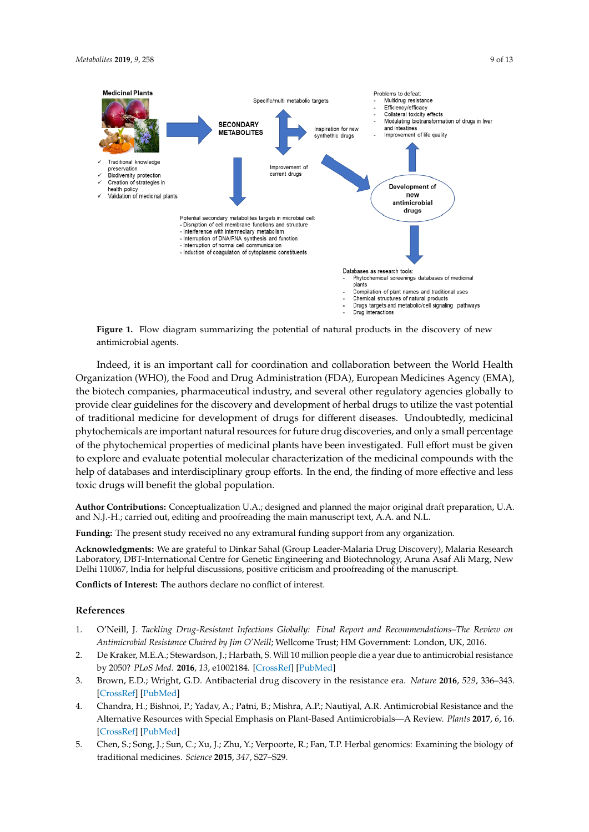<span id="page-8-5"></span>

**Figure 1.** Figure 1. Figure 1. Figure 1. Figure 1. Figure 1. Figure 1. Figure 1. Figure 1. Figure 1. Figure 1. Figure 1. Figure 1. Figure 1. Figure 1. Figure 1. Figure 1. Figure 1. Figure 1. Figure 1. Figure 1. Figure 1. Figure 1. Flow diagram summarizing the potential of natural products in the discovery of new

Organization (WHO), the Food and Drug Administration (FDA), European Medicines Agency (EMA), the biotech companies, pharmaceutical industry, and several other regulatory agencies globally to provide clear guidelines for the discovery and development of herbal drugs to utilize the vast potential of traditional medicine for development of drugs for different diseases. Undoubtedly, medicinal of traditional medicinal  $\alpha$ phytochemicals are important natural resources for future drug discoveries, and only a small percentage of the phytochemical properties of medicinal plants have been investigated. Full effort must be given help of databases and interdisciplinary group efforts. In the end, the finding of more effective and less **References** Indeed, it is an important call for coordination and collaboration between the World Health to explore and evaluate potential molecular characterization of the medicinal compounds with the toxic drugs will benefit the global population.

1. O'Neill, J. *Tackling Drug-Resistant Infections Globally: Final Report and Recommendations–The Review on*  and N.J.-H.; carried out, editing and proofreading the main manuscript text, A.A. and N.L. **Author Contributions:** Conceptualization U.A.; designed and planned the major original draft preparation, U.A.

*Antimicrobial Resistance Chaired by Jim O'Neill*; Wellcome Trust and HM Government: London, UK, 2016. **Funding:** The present study received no any extramural funding support from any organization.

Acknowledgments: We are grateful to Dinkar Sahal (Group Leader-Malaria Drug Discovery), Malaria Research<br>-Delhi 110067, India for helpful discussions, positive criticism and proofreading of the manuscript.  $\mathcal{A}$ , E.; Bishnoi, P.; Patni, B.; Patni, B.; Mishra, A.R. A.P.; Nautiyal, A.R. Antimicrobial $\mathcal{A}$ Laboratory, DBT-International Centre for Genetic Engineering and Biotechnology, Aruna Asaf Ali Marg, New

**Conflicts of Interest:** The authors declare no conflict of interest.

#### 5. Chen, S.; Song, J.; Sun, C.; Xu, J.; Zhu, Y.; Verpoorte, R.; Fan, T.P. Herbal genomics: Examining the biology of traditional medicines. *Science* **2015**, *347*, S27–S29. **References**

- <span id="page-8-0"></span>1. O'Neill, J. Tackling Drug-Resistant Infections Globally: Final Report and Recommendations-The Review on *79*, 629–661. *Antimicrobial Resistance Chaired by Jim O'Neill*; Wellcome Trust; HM Government: London, UK, 2016.
- <span id="page-8-1"></span>2. De Kraker, M.E.A.; Stewardson, J.; Harbath, S. Will 10 million people die a year due to antimicrobial resistance *8*, E239–E253. by 2050? *PLoS Med.* **2016**, *13*, e1002184. [\[CrossRef\]](http://dx.doi.org/10.1371/journal.pmed.1002184) [\[PubMed\]](http://www.ncbi.nlm.nih.gov/pubmed/27898664)
- <span id="page-8-2"></span>3. Brown, E.D.; Wright, G.D. Antibacterial drug discovery in the resistance era. Nature 2016, 529, 336-343. *[and Challen](http://dx.doi.org/10.1038/nature17042)ges* **[CrossRef]** [\[PubMed\]](http://www.ncbi.nlm.nih.gov/pubmed/26791724)
- <span id="page-8-3"></span>4. Chandra, H.; Bishnoi, P.; Yadav, A.; Patni, B.; Mishra, A.P.; Nautiyal, A.R. Antimicrobial Resistance and the Alternative Resources with Special Emphasis on Plant-Based Antimicrobials-A Review. Plants 2017, 6, 16. [CrossRef] [\[PubMed\]](http://www.ncbi.nlm.nih.gov/pubmed/28394295)
- <span id="page-8-4"></span>5. Chen, S.; Song, J.; Sun, C.; Xu, J.; Zhu, Y.; Verpoorte, R.; Fan, T.P. Herbal genomics: Examining the biology of deep-sea microorganisms: Current discoveries and perspectives. *Mar. Drugs* **2018**, *16*, 355. traditional medicines. *Science* **2015**, *347*, S27–S29.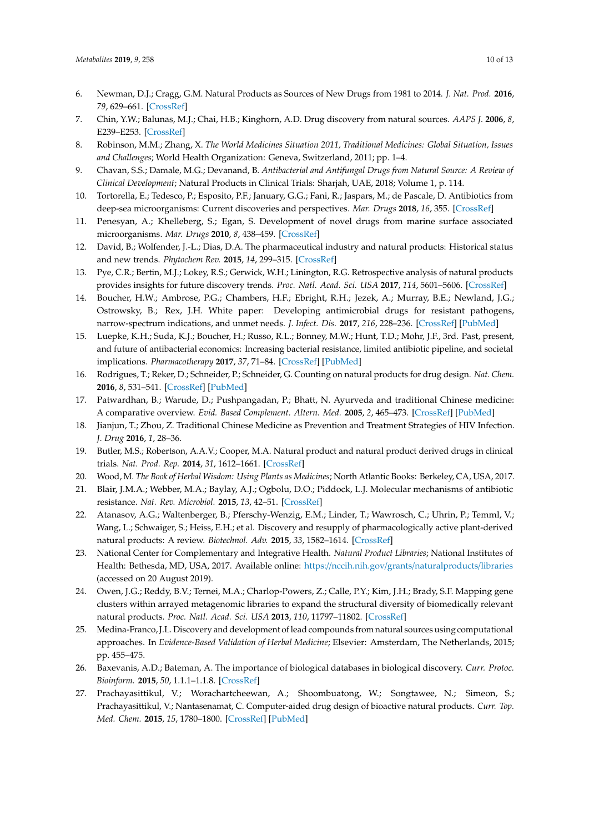- <span id="page-9-0"></span>6. Newman, D.J.; Cragg, G.M. Natural Products as Sources of New Drugs from 1981 to 2014. *J. Nat. Prod.* **2016**, *79*, 629–661. [\[CrossRef\]](http://dx.doi.org/10.1021/acs.jnatprod.5b01055)
- <span id="page-9-1"></span>7. Chin, Y.W.; Balunas, M.J.; Chai, H.B.; Kinghorn, A.D. Drug discovery from natural sources. *AAPS J.* **2006**, *8*, E239–E253. [\[CrossRef\]](http://dx.doi.org/10.1007/BF02854894)
- <span id="page-9-2"></span>8. Robinson, M.M.; Zhang, X. *The World Medicines Situation 2011, Traditional Medicines: Global Situation, Issues and Challenges*; World Health Organization: Geneva, Switzerland, 2011; pp. 1–4.
- <span id="page-9-3"></span>9. Chavan, S.S.; Damale, M.G.; Devanand, B. *Antibacterial and Antifungal Drugs from Natural Source: A Review of Clinical Development*; Natural Products in Clinical Trials: Sharjah, UAE, 2018; Volume 1, p. 114.
- <span id="page-9-4"></span>10. Tortorella, E.; Tedesco, P.; Esposito, P.F.; January, G.G.; Fani, R.; Jaspars, M.; de Pascale, D. Antibiotics from deep-sea microorganisms: Current discoveries and perspectives. *Mar. Drugs* **2018**, *16*, 355. [\[CrossRef\]](http://dx.doi.org/10.3390/md16100355)
- <span id="page-9-5"></span>11. Penesyan, A.; Khelleberg, S.; Egan, S. Development of novel drugs from marine surface associated microorganisms. *Mar. Drugs* **2010**, *8*, 438–459. [\[CrossRef\]](http://dx.doi.org/10.3390/md8030438)
- <span id="page-9-6"></span>12. David, B.; Wolfender, J.-L.; Dias, D.A. The pharmaceutical industry and natural products: Historical status and new trends. *Phytochem Rev.* **2015**, *14*, 299–315. [\[CrossRef\]](http://dx.doi.org/10.1007/s11101-014-9367-z)
- <span id="page-9-7"></span>13. Pye, C.R.; Bertin, M.J.; Lokey, R.S.; Gerwick, W.H.; Linington, R.G. Retrospective analysis of natural products provides insights for future discovery trends. *Proc. Natl. Acad. Sci. USA* **2017**, *114*, 5601–5606. [\[CrossRef\]](http://dx.doi.org/10.1073/pnas.1614680114)
- <span id="page-9-8"></span>14. Boucher, H.W.; Ambrose, P.G.; Chambers, H.F.; Ebright, R.H.; Jezek, A.; Murray, B.E.; Newland, J.G.; Ostrowsky, B.; Rex, J.H. White paper: Developing antimicrobial drugs for resistant pathogens, narrow-spectrum indications, and unmet needs. *J. Infect. Dis.* **2017**, *216*, 228–236. [\[CrossRef\]](http://dx.doi.org/10.1093/infdis/jix211) [\[PubMed\]](http://www.ncbi.nlm.nih.gov/pubmed/28475768)
- <span id="page-9-9"></span>15. Luepke, K.H.; Suda, K.J.; Boucher, H.; Russo, R.L.; Bonney, M.W.; Hunt, T.D.; Mohr, J.F., 3rd. Past, present, and future of antibacterial economics: Increasing bacterial resistance, limited antibiotic pipeline, and societal implications. *Pharmacotherapy* **2017**, *37*, 71–84. [\[CrossRef\]](http://dx.doi.org/10.1002/phar.1868) [\[PubMed\]](http://www.ncbi.nlm.nih.gov/pubmed/27859453)
- <span id="page-9-10"></span>16. Rodrigues, T.; Reker, D.; Schneider, P.; Schneider, G. Counting on natural products for drug design. *Nat. Chem.* **2016**, *8*, 531–541. [\[CrossRef\]](http://dx.doi.org/10.1038/nchem.2479) [\[PubMed\]](http://www.ncbi.nlm.nih.gov/pubmed/27219696)
- <span id="page-9-11"></span>17. Patwardhan, B.; Warude, D.; Pushpangadan, P.; Bhatt, N. Ayurveda and traditional Chinese medicine: A comparative overview. *Evid. Based Complement. Altern. Med.* **2005**, *2*, 465–473. [\[CrossRef\]](http://dx.doi.org/10.1093/ecam/neh140) [\[PubMed\]](http://www.ncbi.nlm.nih.gov/pubmed/16322803)
- <span id="page-9-12"></span>18. Jianjun, T.; Zhou, Z. Traditional Chinese Medicine as Prevention and Treatment Strategies of HIV Infection. *J. Drug* **2016**, *1*, 28–36.
- <span id="page-9-13"></span>19. Butler, M.S.; Robertson, A.A.V.; Cooper, M.A. Natural product and natural product derived drugs in clinical trials. *Nat. Prod. Rep.* **2014**, *31*, 1612–1661. [\[CrossRef\]](http://dx.doi.org/10.1039/C4NP00064A)
- <span id="page-9-14"></span>20. Wood, M. *The Book of Herbal Wisdom: Using Plants as Medicines*; North Atlantic Books: Berkeley, CA, USA, 2017.
- <span id="page-9-15"></span>21. Blair, J.M.A.; Webber, M.A.; Baylay, A.J.; Ogbolu, D.O.; Piddock, L.J. Molecular mechanisms of antibiotic resistance. *Nat. Rev. Microbiol.* **2015**, *13*, 42–51. [\[CrossRef\]](http://dx.doi.org/10.1038/nrmicro3380)
- <span id="page-9-16"></span>22. Atanasov, A.G.; Waltenberger, B.; Pferschy-Wenzig, E.M.; Linder, T.; Wawrosch, C.; Uhrin, P.; Temml, V.; Wang, L.; Schwaiger, S.; Heiss, E.H.; et al. Discovery and resupply of pharmacologically active plant-derived natural products: A review. *Biotechnol. Adv.* **2015**, *33*, 1582–1614. [\[CrossRef\]](http://dx.doi.org/10.1016/j.biotechadv.2015.08.001)
- <span id="page-9-17"></span>23. National Center for Complementary and Integrative Health. *Natural Product Libraries*; National Institutes of Health: Bethesda, MD, USA, 2017. Available online: https://nccih.nih.gov/grants/[naturalproducts](https://nccih.nih.gov/grants/naturalproducts/libraries)/libraries (accessed on 20 August 2019).
- <span id="page-9-18"></span>24. Owen, J.G.; Reddy, B.V.; Ternei, M.A.; Charlop-Powers, Z.; Calle, P.Y.; Kim, J.H.; Brady, S.F. Mapping gene clusters within arrayed metagenomic libraries to expand the structural diversity of biomedically relevant natural products. *Proc. Natl. Acad. Sci. USA* **2013**, *110*, 11797–11802. [\[CrossRef\]](http://dx.doi.org/10.1073/pnas.1222159110)
- <span id="page-9-19"></span>25. Medina-Franco, J.L. Discovery and development of lead compounds from natural sources using computational approaches. In *Evidence-Based Validation of Herbal Medicine*; Elsevier: Amsterdam, The Netherlands, 2015; pp. 455–475.
- <span id="page-9-20"></span>26. Baxevanis, A.D.; Bateman, A. The importance of biological databases in biological discovery. *Curr. Protoc. Bioinform.* **2015**, *50*, 1.1.1–1.1.8. [\[CrossRef\]](http://dx.doi.org/10.1002/0471250953.bi0101s50)
- <span id="page-9-21"></span>27. Prachayasittikul, V.; Worachartcheewan, A.; Shoombuatong, W.; Songtawee, N.; Simeon, S.; Prachayasittikul, V.; Nantasenamat, C. Computer-aided drug design of bioactive natural products. *Curr. Top. Med. Chem.* **2015**, *15*, 1780–1800. [\[CrossRef\]](http://dx.doi.org/10.2174/1568026615666150506151101) [\[PubMed\]](http://www.ncbi.nlm.nih.gov/pubmed/25961523)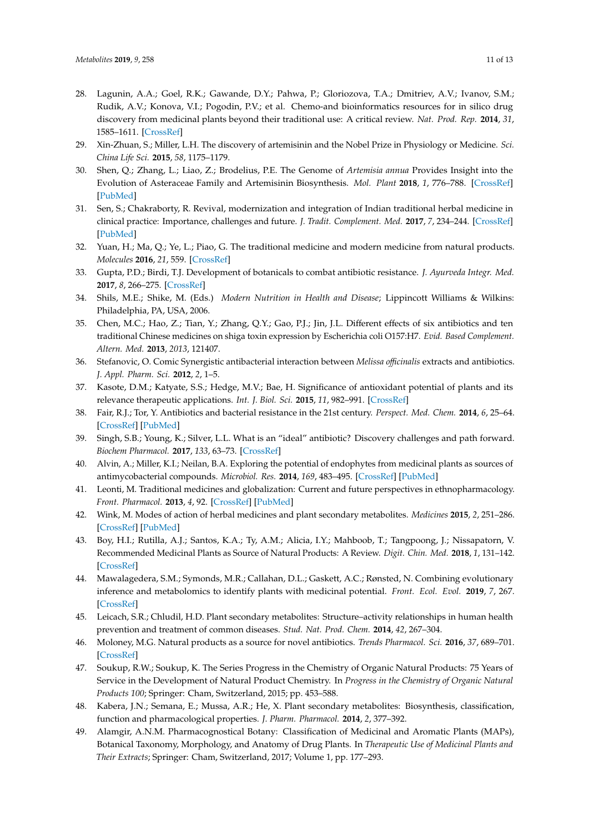- <span id="page-10-0"></span>28. Lagunin, A.A.; Goel, R.K.; Gawande, D.Y.; Pahwa, P.; Gloriozova, T.A.; Dmitriev, A.V.; Ivanov, S.M.; Rudik, A.V.; Konova, V.I.; Pogodin, P.V.; et al. Chemo-and bioinformatics resources for in silico drug discovery from medicinal plants beyond their traditional use: A critical review. *Nat. Prod. Rep.* **2014**, *31*, 1585–1611. [\[CrossRef\]](http://dx.doi.org/10.1039/C4NP00068D)
- <span id="page-10-1"></span>29. Xin-Zhuan, S.; Miller, L.H. The discovery of artemisinin and the Nobel Prize in Physiology or Medicine. *Sci. China Life Sci.* **2015**, *58*, 1175–1179.
- <span id="page-10-2"></span>30. Shen, Q.; Zhang, L.; Liao, Z.; Brodelius, P.E. The Genome of *Artemisia annua* Provides Insight into the Evolution of Asteraceae Family and Artemisinin Biosynthesis. *Mol. Plant* **2018**, *1*, 776–788. [\[CrossRef\]](http://dx.doi.org/10.1016/j.molp.2018.03.015) [\[PubMed\]](http://www.ncbi.nlm.nih.gov/pubmed/29703587)
- <span id="page-10-3"></span>31. Sen, S.; Chakraborty, R. Revival, modernization and integration of Indian traditional herbal medicine in clinical practice: Importance, challenges and future. *J. Tradit. Complement. Med.* **2017**, *7*, 234–244. [\[CrossRef\]](http://dx.doi.org/10.1016/j.jtcme.2016.05.006) [\[PubMed\]](http://www.ncbi.nlm.nih.gov/pubmed/28417092)
- <span id="page-10-4"></span>32. Yuan, H.; Ma, Q.; Ye, L.; Piao, G. The traditional medicine and modern medicine from natural products. *Molecules* **2016**, *21*, 559. [\[CrossRef\]](http://dx.doi.org/10.3390/molecules21050559)
- <span id="page-10-5"></span>33. Gupta, P.D.; Birdi, T.J. Development of botanicals to combat antibiotic resistance. *J. Ayurveda Integr. Med.* **2017**, *8*, 266–275. [\[CrossRef\]](http://dx.doi.org/10.1016/j.jaim.2017.05.004)
- <span id="page-10-6"></span>34. Shils, M.E.; Shike, M. (Eds.) *Modern Nutrition in Health and Disease*; Lippincott Williams & Wilkins: Philadelphia, PA, USA, 2006.
- <span id="page-10-7"></span>35. Chen, M.C.; Hao, Z.; Tian, Y.; Zhang, Q.Y.; Gao, P.J.; Jin, J.L. Different effects of six antibiotics and ten traditional Chinese medicines on shiga toxin expression by Escherichia coli O157:H7. *Evid. Based Complement. Altern. Med.* **2013**, *2013*, 121407.
- <span id="page-10-8"></span>36. Stefanovic, O. Comic Synergistic antibacterial interaction between *Melissa o*ffi*cinalis* extracts and antibiotics. *J. Appl. Pharm. Sci.* **2012**, *2*, 1–5.
- <span id="page-10-9"></span>37. Kasote, D.M.; Katyate, S.S.; Hedge, M.V.; Bae, H. Significance of antioxidant potential of plants and its relevance therapeutic applications. *Int. J. Biol. Sci.* **2015**, *11*, 982–991. [\[CrossRef\]](http://dx.doi.org/10.7150/ijbs.12096)
- <span id="page-10-10"></span>38. Fair, R.J.; Tor, Y. Antibiotics and bacterial resistance in the 21st century. *Perspect. Med. Chem.* **2014**, *6*, 25–64. [\[CrossRef\]](http://dx.doi.org/10.4137/PMC.S14459) [\[PubMed\]](http://www.ncbi.nlm.nih.gov/pubmed/25232278)
- <span id="page-10-11"></span>39. Singh, S.B.; Young, K.; Silver, L.L. What is an "ideal" antibiotic? Discovery challenges and path forward. *Biochem Pharmacol.* **2017**, *133*, 63–73. [\[CrossRef\]](http://dx.doi.org/10.1016/j.bcp.2017.01.003)
- <span id="page-10-12"></span>40. Alvin, A.; Miller, K.I.; Neilan, B.A. Exploring the potential of endophytes from medicinal plants as sources of antimycobacterial compounds. *Microbiol. Res.* **2014**, *169*, 483–495. [\[CrossRef\]](http://dx.doi.org/10.1016/j.micres.2013.12.009) [\[PubMed\]](http://www.ncbi.nlm.nih.gov/pubmed/24582778)
- <span id="page-10-13"></span>41. Leonti, M. Traditional medicines and globalization: Current and future perspectives in ethnopharmacology. *Front. Pharmacol.* **2013**, *4*, 92. [\[CrossRef\]](http://dx.doi.org/10.3389/fphar.2013.00092) [\[PubMed\]](http://www.ncbi.nlm.nih.gov/pubmed/23898296)
- <span id="page-10-14"></span>42. Wink, M. Modes of action of herbal medicines and plant secondary metabolites. *Medicines* **2015**, *2*, 251–286. [\[CrossRef\]](http://dx.doi.org/10.3390/medicines2030251) [\[PubMed\]](http://www.ncbi.nlm.nih.gov/pubmed/28930211)
- <span id="page-10-15"></span>43. Boy, H.I.; Rutilla, A.J.; Santos, K.A.; Ty, A.M.; Alicia, I.Y.; Mahboob, T.; Tangpoong, J.; Nissapatorn, V. Recommended Medicinal Plants as Source of Natural Products: A Review. *Digit. Chin. Med.* **2018**, *1*, 131–142. [\[CrossRef\]](http://dx.doi.org/10.1016/S2589-3777(19)30018-7)
- <span id="page-10-16"></span>44. Mawalagedera, S.M.; Symonds, M.R.; Callahan, D.L.; Gaskett, A.C.; Rønsted, N. Combining evolutionary inference and metabolomics to identify plants with medicinal potential. *Front. Ecol. Evol.* **2019**, *7*, 267. [\[CrossRef\]](http://dx.doi.org/10.3389/fevo.2019.00267)
- <span id="page-10-17"></span>45. Leicach, S.R.; Chludil, H.D. Plant secondary metabolites: Structure–activity relationships in human health prevention and treatment of common diseases. *Stud. Nat. Prod. Chem.* **2014**, *42*, 267–304.
- <span id="page-10-18"></span>46. Moloney, M.G. Natural products as a source for novel antibiotics. *Trends Pharmacol. Sci.* **2016**, *37*, 689–701. [\[CrossRef\]](http://dx.doi.org/10.1016/j.tips.2016.05.001)
- <span id="page-10-19"></span>47. Soukup, R.W.; Soukup, K. The Series Progress in the Chemistry of Organic Natural Products: 75 Years of Service in the Development of Natural Product Chemistry. In *Progress in the Chemistry of Organic Natural Products 100*; Springer: Cham, Switzerland, 2015; pp. 453–588.
- <span id="page-10-20"></span>48. Kabera, J.N.; Semana, E.; Mussa, A.R.; He, X. Plant secondary metabolites: Biosynthesis, classification, function and pharmacological properties. *J. Pharm. Pharmacol.* **2014**, *2*, 377–392.
- <span id="page-10-21"></span>49. Alamgir, A.N.M. Pharmacognostical Botany: Classification of Medicinal and Aromatic Plants (MAPs), Botanical Taxonomy, Morphology, and Anatomy of Drug Plants. In *Therapeutic Use of Medicinal Plants and Their Extracts*; Springer: Cham, Switzerland, 2017; Volume 1, pp. 177–293.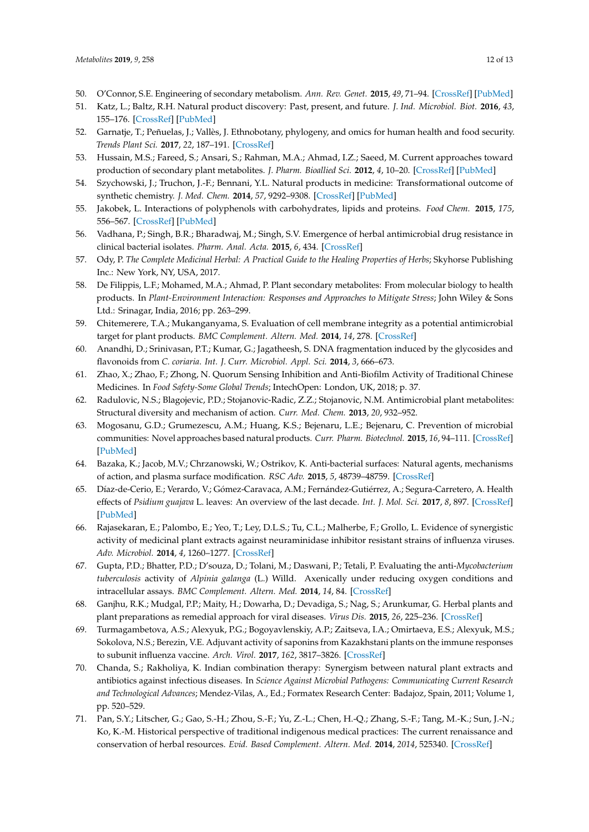- 50. O'Connor, S.E. Engineering of secondary metabolism. *Ann. Rev. Genet.* **2015**, *49*, 71–94. [\[CrossRef\]](http://dx.doi.org/10.1146/annurev-genet-120213-092053) [\[PubMed\]](http://www.ncbi.nlm.nih.gov/pubmed/26393965)
- <span id="page-11-0"></span>51. Katz, L.; Baltz, R.H. Natural product discovery: Past, present, and future. *J. Ind. Microbiol. Biot.* **2016**, *43*, 155–176. [\[CrossRef\]](http://dx.doi.org/10.1007/s10295-015-1723-5) [\[PubMed\]](http://www.ncbi.nlm.nih.gov/pubmed/26739136)
- <span id="page-11-1"></span>52. Garnatje, T.; Peñuelas, J.; Vallès, J. Ethnobotany, phylogeny, and omics for human health and food security. *Trends Plant Sci.* **2017**, *22*, 187–191. [\[CrossRef\]](http://dx.doi.org/10.1016/j.tplants.2017.01.001)
- <span id="page-11-2"></span>53. Hussain, M.S.; Fareed, S.; Ansari, S.; Rahman, M.A.; Ahmad, I.Z.; Saeed, M. Current approaches toward production of secondary plant metabolites. *J. Pharm. Bioallied Sci.* **2012**, *4*, 10–20. [\[CrossRef\]](http://dx.doi.org/10.4103/0975-7406.92725) [\[PubMed\]](http://www.ncbi.nlm.nih.gov/pubmed/22368394)
- <span id="page-11-3"></span>54. Szychowski, J.; Truchon, J.-F.; Bennani, Y.L. Natural products in medicine: Transformational outcome of synthetic chemistry. *J. Med. Chem.* **2014**, *57*, 9292–9308. [\[CrossRef\]](http://dx.doi.org/10.1021/jm500941m) [\[PubMed\]](http://www.ncbi.nlm.nih.gov/pubmed/25144261)
- <span id="page-11-4"></span>55. Jakobek, L. Interactions of polyphenols with carbohydrates, lipids and proteins. *Food Chem.* **2015**, *175*, 556–567. [\[CrossRef\]](http://dx.doi.org/10.1016/j.foodchem.2014.12.013) [\[PubMed\]](http://www.ncbi.nlm.nih.gov/pubmed/25577120)
- <span id="page-11-5"></span>56. Vadhana, P.; Singh, B.R.; Bharadwaj, M.; Singh, S.V. Emergence of herbal antimicrobial drug resistance in clinical bacterial isolates. *Pharm. Anal. Acta.* **2015**, *6*, 434. [\[CrossRef\]](http://dx.doi.org/10.4172/2153-2435.1000434)
- <span id="page-11-6"></span>57. Ody, P. *The Complete Medicinal Herbal: A Practical Guide to the Healing Properties of Herbs*; Skyhorse Publishing Inc.: New York, NY, USA, 2017.
- <span id="page-11-7"></span>58. De Filippis, L.F.; Mohamed, M.A.; Ahmad, P. Plant secondary metabolites: From molecular biology to health products. In *Plant-Environment Interaction: Responses and Approaches to Mitigate Stress*; John Wiley & Sons Ltd.: Srinagar, India, 2016; pp. 263–299.
- <span id="page-11-8"></span>59. Chitemerere, T.A.; Mukanganyama, S. Evaluation of cell membrane integrity as a potential antimicrobial target for plant products. *BMC Complement. Altern. Med.* **2014**, *14*, 278. [\[CrossRef\]](http://dx.doi.org/10.1186/1472-6882-14-278)
- <span id="page-11-9"></span>60. Anandhi, D.; Srinivasan, P.T.; Kumar, G.; Jagatheesh, S. DNA fragmentation induced by the glycosides and flavonoids from *C. coriaria*. *Int. J. Curr. Microbiol. Appl. Sci.* **2014**, *3*, 666–673.
- <span id="page-11-10"></span>61. Zhao, X.; Zhao, F.; Zhong, N. Quorum Sensing Inhibition and Anti-Biofilm Activity of Traditional Chinese Medicines. In *Food Safety-Some Global Trends*; IntechOpen: London, UK, 2018; p. 37.
- <span id="page-11-11"></span>62. Radulovic, N.S.; Blagojevic, P.D.; Stojanovic-Radic, Z.Z.; Stojanovic, N.M. Antimicrobial plant metabolites: Structural diversity and mechanism of action. *Curr. Med. Chem.* **2013**, *20*, 932–952.
- <span id="page-11-12"></span>63. Mogosanu, G.D.; Grumezescu, A.M.; Huang, K.S.; Bejenaru, L.E.; Bejenaru, C. Prevention of microbial communities: Novel approaches based natural products. *Curr. Pharm. Biotechnol.* **2015**, *16*, 94–111. [\[CrossRef\]](http://dx.doi.org/10.2174/138920101602150112145916) [\[PubMed\]](http://www.ncbi.nlm.nih.gov/pubmed/25594287)
- <span id="page-11-13"></span>64. Bazaka, K.; Jacob, M.V.; Chrzanowski, W.; Ostrikov, K. Anti-bacterial surfaces: Natural agents, mechanisms of action, and plasma surface modification. *RSC Adv.* **2015**, *5*, 48739–48759. [\[CrossRef\]](http://dx.doi.org/10.1039/C4RA17244B)
- <span id="page-11-14"></span>65. Díaz-de-Cerio, E.; Verardo, V.; Gómez-Caravaca, A.M.; Fernández-Gutiérrez, A.; Segura-Carretero, A. Health effects of *Psidium guajava* L. leaves: An overview of the last decade. *Int. J. Mol. Sci.* **2017**, *8*, 897. [\[CrossRef\]](http://dx.doi.org/10.3390/ijms18040897) [\[PubMed\]](http://www.ncbi.nlm.nih.gov/pubmed/28441777)
- <span id="page-11-15"></span>66. Rajasekaran, E.; Palombo, E.; Yeo, T.; Ley, D.L.S.; Tu, C.L.; Malherbe, F.; Grollo, L. Evidence of synergistic activity of medicinal plant extracts against neuraminidase inhibitor resistant strains of influenza viruses. *Adv. Microbiol.* **2014**, *4*, 1260–1277. [\[CrossRef\]](http://dx.doi.org/10.4236/aim.2014.416136)
- <span id="page-11-16"></span>67. Gupta, P.D.; Bhatter, P.D.; D'souza, D.; Tolani, M.; Daswani, P.; Tetali, P. Evaluating the anti-*Mycobacterium tuberculosis* activity of *Alpinia galanga* (L.) Willd. Axenically under reducing oxygen conditions and intracellular assays. *BMC Complement. Altern. Med.* **2014**, *14*, 84. [\[CrossRef\]](http://dx.doi.org/10.1186/1472-6882-14-84)
- <span id="page-11-17"></span>68. Ganjhu, R.K.; Mudgal, P.P.; Maity, H.; Dowarha, D.; Devadiga, S.; Nag, S.; Arunkumar, G. Herbal plants and plant preparations as remedial approach for viral diseases. *Virus Dis.* **2015**, *26*, 225–236. [\[CrossRef\]](http://dx.doi.org/10.1007/s13337-015-0276-6)
- <span id="page-11-18"></span>69. Turmagambetova, A.S.; Alexyuk, P.G.; Bogoyavlenskiy, A.P.; Zaitseva, I.A.; Omirtaeva, E.S.; Alexyuk, M.S.; Sokolova, N.S.; Berezin, V.E. Adjuvant activity of saponins from Kazakhstani plants on the immune responses to subunit influenza vaccine. *Arch. Virol.* **2017**, *162*, 3817–3826. [\[CrossRef\]](http://dx.doi.org/10.1007/s00705-017-3560-5)
- <span id="page-11-19"></span>70. Chanda, S.; Rakholiya, K. Indian combination therapy: Synergism between natural plant extracts and antibiotics against infectious diseases. In *Science Against Microbial Pathogens: Communicating Current Research and Technological Advances*; Mendez-Vilas, A., Ed.; Formatex Research Center: Badajoz, Spain, 2011; Volume 1, pp. 520–529.
- <span id="page-11-20"></span>71. Pan, S.Y.; Litscher, G.; Gao, S.-H.; Zhou, S.-F.; Yu, Z.-L.; Chen, H.-Q.; Zhang, S.-F.; Tang, M.-K.; Sun, J.-N.; Ko, K.-M. Historical perspective of traditional indigenous medical practices: The current renaissance and conservation of herbal resources. *Evid. Based Complement. Altern. Med.* **2014**, *2014*, 525340. [\[CrossRef\]](http://dx.doi.org/10.1155/2014/525340)